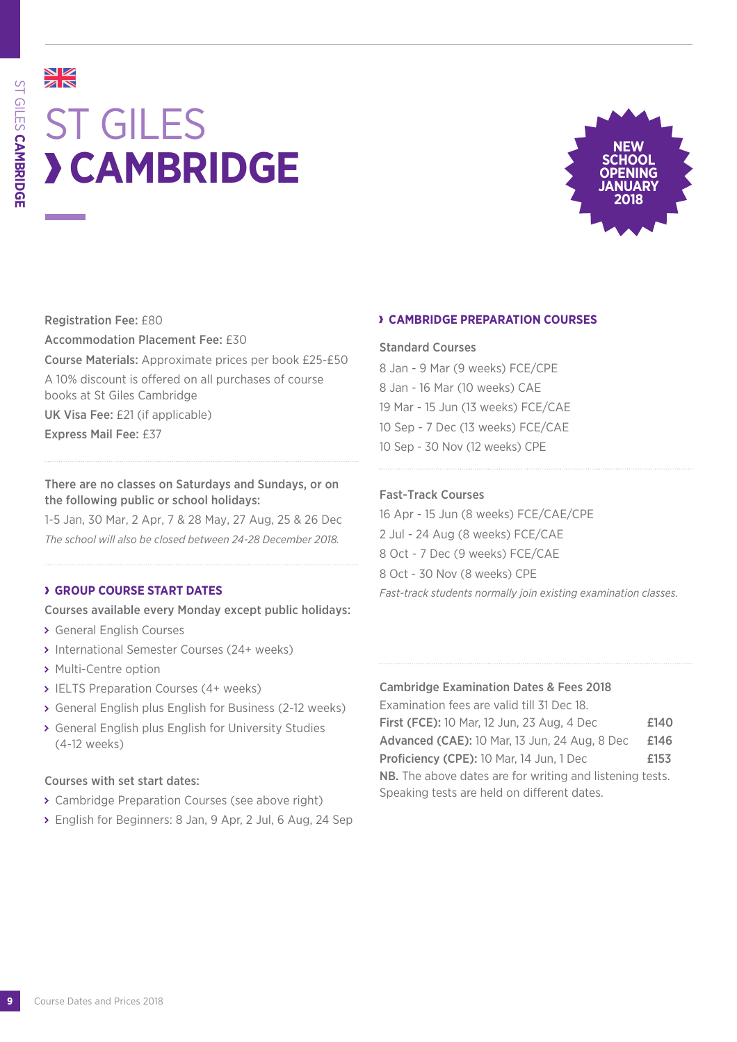# NK<br>AR ST GILES **CAMBRIDGE**



Registration Fee: £80 Accommodation Placement Fee: £30 Course Materials: Approximate prices per book £25-£50 A 10% discount is offered on all purchases of course books at St Giles Cambridge UK Visa Fee: £21 (if applicable) Express Mail Fee: £37

There are no classes on Saturdays and Sundays, or on the following public or school holidays:

1-5 Jan, 30 Mar, 2 Apr, 7 & 28 May, 27 Aug, 25 & 26 Dec *The school will also be closed between 24-28 December 2018.*

#### **GROUP COURSE START DATES**

Courses available every Monday except public holidays:

- General English Courses
- International Semester Courses (24+ weeks)
- > Multi-Centre option
- **> IELTS Preparation Courses (4+ weeks)**
- General English plus English for Business (2-12 weeks)
- General English plus English for University Studies (4-12 weeks)

#### Courses with set start dates:

- Cambridge Preparation Courses (see above right)
- English for Beginners: 8 Jan, 9 Apr, 2 Jul, 6 Aug, 24 Sep

#### **CAMBRIDGE PREPARATION COURSES**

#### Standard Courses

8 Jan - 9 Mar (9 weeks) FCE/CPE 8 Jan - 16 Mar (10 weeks) CAE 19 Mar - 15 Jun (13 weeks) FCE/CAE 10 Sep - 7 Dec (13 weeks) FCE/CAE 10 Sep - 30 Nov (12 weeks) CPE

#### Fast-Track Courses

16 Apr - 15 Jun (8 weeks) FCE/CAE/CPE 2 Jul - 24 Aug (8 weeks) FCE/CAE 8 Oct - 7 Dec (9 weeks) FCE/CAE 8 Oct - 30 Nov (8 weeks) CPE *Fast-track students normally join existing examination classes.*

#### Cambridge Examination Dates & Fees 2018

Examination fees are valid till 31 Dec 18. **First (FCE):** 10 Mar, 12 Jun, 23 Aug, 4 Dec **£140** Advanced (CAE): 10 Mar, 13 Jun, 24 Aug, 8 Dec £146 Proficiency (CPE): 10 Mar, 14 Jun, 1 Dec **£153** NB. The above dates are for writing and listening tests. Speaking tests are held on different dates.